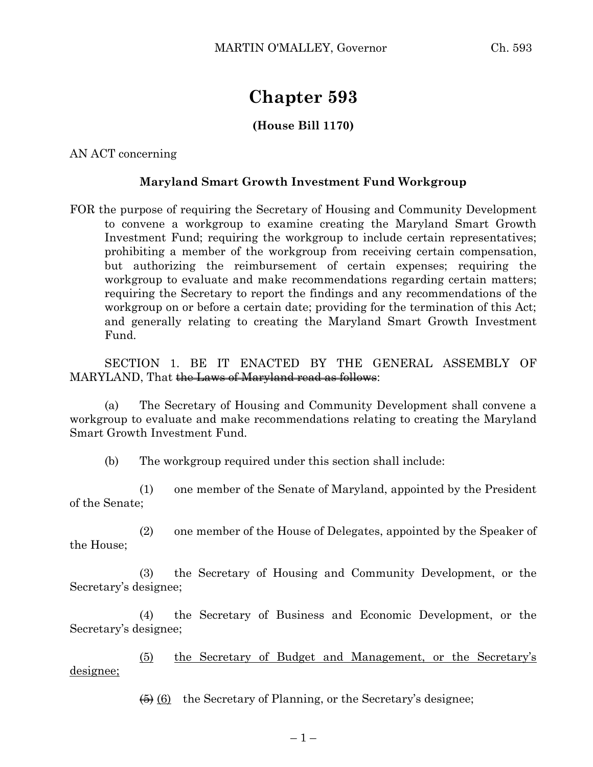## **Chapter 593**

## **(House Bill 1170)**

AN ACT concerning

## **Maryland Smart Growth Investment Fund Workgroup**

FOR the purpose of requiring the Secretary of Housing and Community Development to convene a workgroup to examine creating the Maryland Smart Growth Investment Fund; requiring the workgroup to include certain representatives; prohibiting a member of the workgroup from receiving certain compensation, but authorizing the reimbursement of certain expenses; requiring the workgroup to evaluate and make recommendations regarding certain matters; requiring the Secretary to report the findings and any recommendations of the workgroup on or before a certain date; providing for the termination of this Act; and generally relating to creating the Maryland Smart Growth Investment Fund.

SECTION 1. BE IT ENACTED BY THE GENERAL ASSEMBLY OF MARYLAND, That the Laws of Maryland read as follows:

(a) The Secretary of Housing and Community Development shall convene a workgroup to evaluate and make recommendations relating to creating the Maryland Smart Growth Investment Fund.

(b) The workgroup required under this section shall include:

(1) one member of the Senate of Maryland, appointed by the President of the Senate;

(2) one member of the House of Delegates, appointed by the Speaker of the House;

(3) the Secretary of Housing and Community Development, or the Secretary's designee;

(4) the Secretary of Business and Economic Development, or the Secretary's designee;

(5) the Secretary of Budget and Management, or the Secretary's designee;

 $\left(6\right)$  (6) the Secretary of Planning, or the Secretary's designee;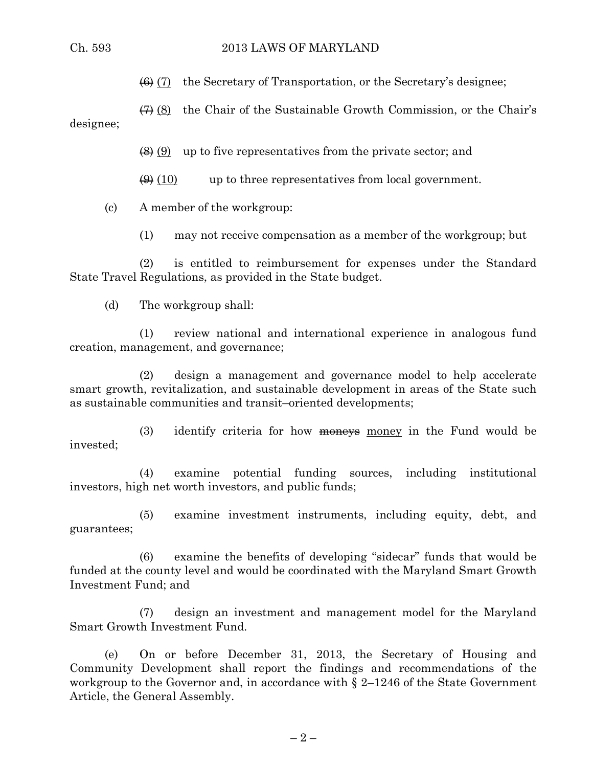$\left(\bigoplus_{i=1}^{n} (7) \right)$  the Secretary of Transportation, or the Secretary's designee;

 $\overline{(7)}$  (8) the Chair of the Sustainable Growth Commission, or the Chair's designee;

 $\left(\frac{8}{2}\right)$  (9) up to five representatives from the private sector; and

 $\left(\frac{\Theta}{\Theta}\right)$  (10) up to three representatives from local government.

(c) A member of the workgroup:

(1) may not receive compensation as a member of the workgroup; but

(2) is entitled to reimbursement for expenses under the Standard State Travel Regulations, as provided in the State budget.

(d) The workgroup shall:

(1) review national and international experience in analogous fund creation, management, and governance;

(2) design a management and governance model to help accelerate smart growth, revitalization, and sustainable development in areas of the State such as sustainable communities and transit–oriented developments;

(3) identify criteria for how  $\frac{m}{m}$  money in the Fund would be invested;

(4) examine potential funding sources, including institutional investors, high net worth investors, and public funds;

(5) examine investment instruments, including equity, debt, and guarantees;

(6) examine the benefits of developing "sidecar" funds that would be funded at the county level and would be coordinated with the Maryland Smart Growth Investment Fund; and

(7) design an investment and management model for the Maryland Smart Growth Investment Fund.

(e) On or before December 31, 2013, the Secretary of Housing and Community Development shall report the findings and recommendations of the workgroup to the Governor and, in accordance with § 2–1246 of the State Government Article, the General Assembly.